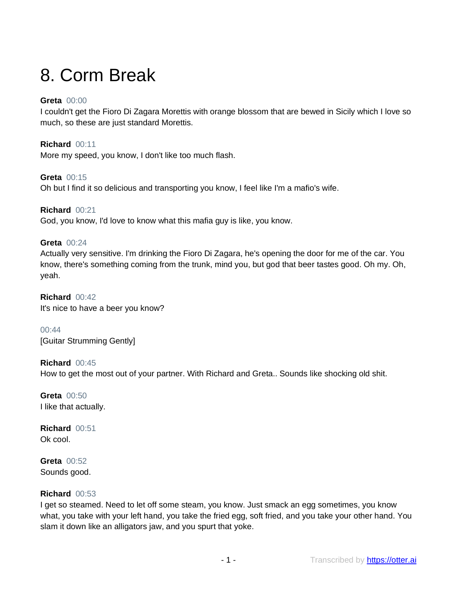# 8. Corm Break

# **Greta** 00:00

I couldn't get the Fioro Di Zagara Morettis with orange blossom that are bewed in Sicily which I love so much, so these are just standard Morettis.

**Richard** 00:11 More my speed, you know, I don't like too much flash.

**Greta** 00:15 Oh but I find it so delicious and transporting you know, I feel like I'm a mafio's wife.

**Richard** 00:21 God, you know, I'd love to know what this mafia guy is like, you know.

**Greta** 00:24 Actually very sensitive. I'm drinking the Fioro Di Zagara, he's opening the door for me of the car. You know, there's something coming from the trunk, mind you, but god that beer tastes good. Oh my. Oh, yeah.

**Richard** 00:42 It's nice to have a beer you know?

00:44 [Guitar Strumming Gently]

**Richard** 00:45 How to get the most out of your partner. With Richard and Greta.. Sounds like shocking old shit.

**Greta** 00:50 I like that actually.

**Richard** 00:51 Ok cool.

**Greta** 00:52 Sounds good.

# **Richard** 00:53

I get so steamed. Need to let off some steam, you know. Just smack an egg sometimes, you know what, you take with your left hand, you take the fried egg, soft fried, and you take your other hand. You slam it down like an alligators jaw, and you spurt that yoke.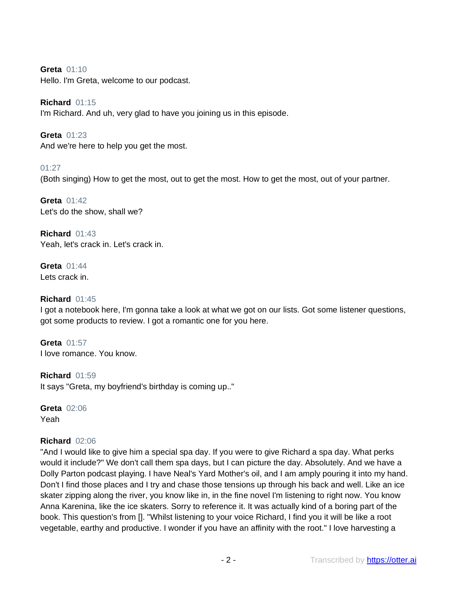# **Greta** 01:10

Hello. I'm Greta, welcome to our podcast.

# **Richard** 01:15

I'm Richard. And uh, very glad to have you joining us in this episode.

**Greta** 01:23 And we're here to help you get the most.

# 01:27

(Both singing) How to get the most, out to get the most. How to get the most, out of your partner.

**Greta** 01:42 Let's do the show, shall we?

**Richard** 01:43 Yeah, let's crack in. Let's crack in.

**Greta** 01:44 Lets crack in.

# **Richard** 01:45

I got a notebook here, I'm gonna take a look at what we got on our lists. Got some listener questions, got some products to review. I got a romantic one for you here.

**Greta** 01:57 I love romance. You know.

**Richard** 01:59 It says "Greta, my boyfriend's birthday is coming up.."

**Greta** 02:06 Yeah

# **Richard** 02:06

"And I would like to give him a special spa day. If you were to give Richard a spa day. What perks would it include?" We don't call them spa days, but I can picture the day. Absolutely. And we have a Dolly Parton podcast playing. I have Neal's Yard Mother's oil, and I am amply pouring it into my hand. Don't I find those places and I try and chase those tensions up through his back and well. Like an ice skater zipping along the river, you know like in, in the fine novel I'm listening to right now. You know Anna Karenina, like the ice skaters. Sorry to reference it. It was actually kind of a boring part of the book. This question's from []. "Whilst listening to your voice Richard, I find you it will be like a root vegetable, earthy and productive. I wonder if you have an affinity with the root." I love harvesting a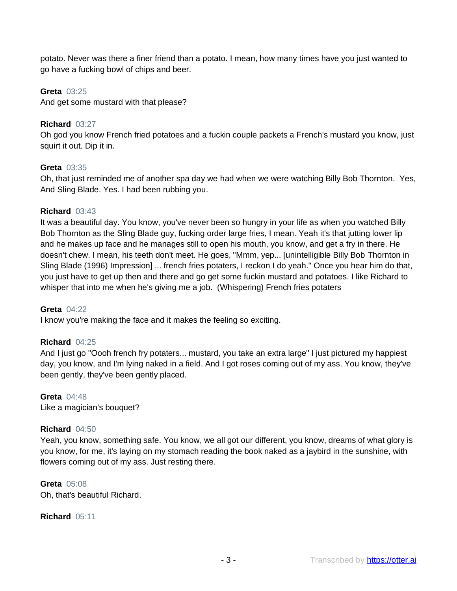potato. Never was there a finer friend than a potato. I mean, how many times have you just wanted to go have a fucking bowl of chips and beer.

### **Greta** 03:25

And get some mustard with that please?

### **Richard** 03:27

Oh god you know French fried potatoes and a fuckin couple packets a French's mustard you know, just squirt it out. Dip it in.

#### **Greta** 03:35

Oh, that just reminded me of another spa day we had when we were watching Billy Bob Thornton. Yes, And Sling Blade. Yes. I had been rubbing you.

#### **Richard** 03:43

It was a beautiful day. You know, you've never been so hungry in your life as when you watched Billy Bob Thornton as the Sling Blade guy, fucking order large fries, I mean. Yeah it's that jutting lower lip and he makes up face and he manages still to open his mouth, you know, and get a fry in there. He doesn't chew. I mean, his teeth don't meet. He goes, "Mmm, yep... [unintelligible Billy Bob Thornton in Sling Blade (1996) Impression] ... french fries potaters, I reckon I do yeah." Once you hear him do that, you just have to get up then and there and go get some fuckin mustard and potatoes. I like Richard to whisper that into me when he's giving me a job. (Whispering) French fries potaters

#### **Greta** 04:22

I know you're making the face and it makes the feeling so exciting.

# **Richard** 04:25

And I just go "Oooh french fry potaters... mustard, you take an extra large" I just pictured my happiest day, you know, and I'm lying naked in a field. And I got roses coming out of my ass. You know, they've been gently, they've been gently placed.

#### **Greta** 04:48 Like a magician's bouquet?

# **Richard** 04:50

Yeah, you know, something safe. You know, we all got our different, you know, dreams of what glory is you know, for me, it's laying on my stomach reading the book naked as a jaybird in the sunshine, with flowers coming out of my ass. Just resting there.

# **Greta** 05:08

Oh, that's beautiful Richard.

**Richard** 05:11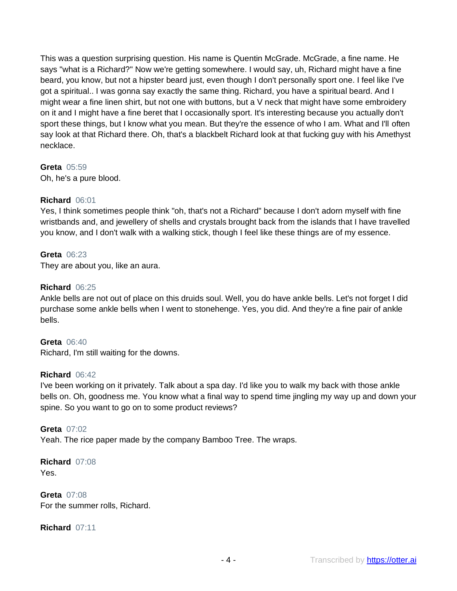This was a question surprising question. His name is Quentin McGrade. McGrade, a fine name. He says "what is a Richard?" Now we're getting somewhere. I would say, uh, Richard might have a fine beard, you know, but not a hipster beard just, even though I don't personally sport one. I feel like I've got a spiritual.. I was gonna say exactly the same thing. Richard, you have a spiritual beard. And I might wear a fine linen shirt, but not one with buttons, but a V neck that might have some embroidery on it and I might have a fine beret that I occasionally sport. It's interesting because you actually don't sport these things, but I know what you mean. But they're the essence of who I am. What and I'll often say look at that Richard there. Oh, that's a blackbelt Richard look at that fucking guy with his Amethyst necklace.

# **Greta** 05:59

Oh, he's a pure blood.

# **Richard** 06:01

Yes, I think sometimes people think "oh, that's not a Richard" because I don't adorn myself with fine wristbands and, and jewellery of shells and crystals brought back from the islands that I have travelled you know, and I don't walk with a walking stick, though I feel like these things are of my essence.

# **Greta** 06:23

They are about you, like an aura.

# **Richard** 06:25

Ankle bells are not out of place on this druids soul. Well, you do have ankle bells. Let's not forget I did purchase some ankle bells when I went to stonehenge. Yes, you did. And they're a fine pair of ankle bells.

# **Greta** 06:40

Richard, I'm still waiting for the downs.

# **Richard** 06:42

I've been working on it privately. Talk about a spa day. I'd like you to walk my back with those ankle bells on. Oh, goodness me. You know what a final way to spend time jingling my way up and down your spine. So you want to go on to some product reviews?

# **Greta** 07:02

Yeah. The rice paper made by the company Bamboo Tree. The wraps.

**Richard** 07:08 Yes.

**Greta** 07:08 For the summer rolls, Richard.

**Richard** 07:11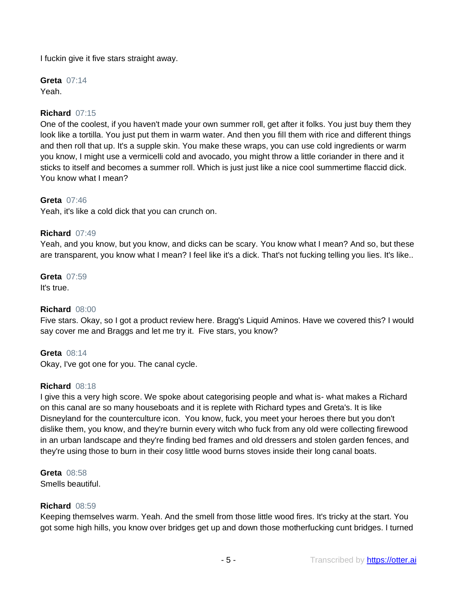I fuckin give it five stars straight away.

**Greta** 07:14 Yeah.

# **Richard** 07:15

One of the coolest, if you haven't made your own summer roll, get after it folks. You just buy them they look like a tortilla. You just put them in warm water. And then you fill them with rice and different things and then roll that up. It's a supple skin. You make these wraps, you can use cold ingredients or warm you know, I might use a vermicelli cold and avocado, you might throw a little coriander in there and it sticks to itself and becomes a summer roll. Which is just just like a nice cool summertime flaccid dick. You know what I mean?

#### **Greta** 07:46

Yeah, it's like a cold dick that you can crunch on.

#### **Richard** 07:49

Yeah, and you know, but you know, and dicks can be scary. You know what I mean? And so, but these are transparent, you know what I mean? I feel like it's a dick. That's not fucking telling you lies. It's like..

#### **Greta** 07:59

It's true.

# **Richard** 08:00

Five stars. Okay, so I got a product review here. Bragg's Liquid Aminos. Have we covered this? I would say cover me and Braggs and let me try it. Five stars, you know?

#### **Greta** 08:14

Okay, I've got one for you. The canal cycle.

#### **Richard** 08:18

I give this a very high score. We spoke about categorising people and what is- what makes a Richard on this canal are so many houseboats and it is replete with Richard types and Greta's. It is like Disneyland for the counterculture icon. You know, fuck, you meet your heroes there but you don't dislike them, you know, and they're burnin every witch who fuck from any old were collecting firewood in an urban landscape and they're finding bed frames and old dressers and stolen garden fences, and they're using those to burn in their cosy little wood burns stoves inside their long canal boats.

# **Greta** 08:58

Smells beautiful.

#### **Richard** 08:59

Keeping themselves warm. Yeah. And the smell from those little wood fires. It's tricky at the start. You got some high hills, you know over bridges get up and down those motherfucking cunt bridges. I turned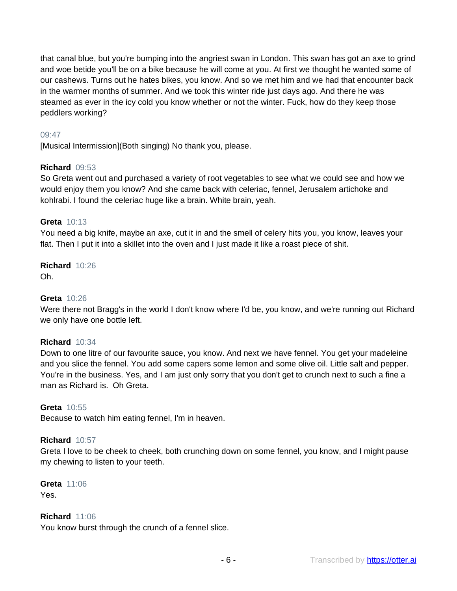that canal blue, but you're bumping into the angriest swan in London. This swan has got an axe to grind and woe betide you'll be on a bike because he will come at you. At first we thought he wanted some of our cashews. Turns out he hates bikes, you know. And so we met him and we had that encounter back in the warmer months of summer. And we took this winter ride just days ago. And there he was steamed as ever in the icy cold you know whether or not the winter. Fuck, how do they keep those peddlers working?

# 09:47

[Musical Intermission](Both singing) No thank you, please.

# **Richard** 09:53

So Greta went out and purchased a variety of root vegetables to see what we could see and how we would enjoy them you know? And she came back with celeriac, fennel, Jerusalem artichoke and kohlrabi. I found the celeriac huge like a brain. White brain, yeah.

# **Greta** 10:13

You need a big knife, maybe an axe, cut it in and the smell of celery hits you, you know, leaves your flat. Then I put it into a skillet into the oven and I just made it like a roast piece of shit.

#### **Richard** 10:26 Oh.

# **Greta** 10:26

Were there not Bragg's in the world I don't know where I'd be, you know, and we're running out Richard we only have one bottle left.

# **Richard** 10:34

Down to one litre of our favourite sauce, you know. And next we have fennel. You get your madeleine and you slice the fennel. You add some capers some lemon and some olive oil. Little salt and pepper. You're in the business. Yes, and I am just only sorry that you don't get to crunch next to such a fine a man as Richard is. Oh Greta.

#### **Greta** 10:55

Because to watch him eating fennel, I'm in heaven.

#### **Richard** 10:57

Greta I love to be cheek to cheek, both crunching down on some fennel, you know, and I might pause my chewing to listen to your teeth.

**Greta** 11:06 Yes.

# **Richard** 11:06

You know burst through the crunch of a fennel slice.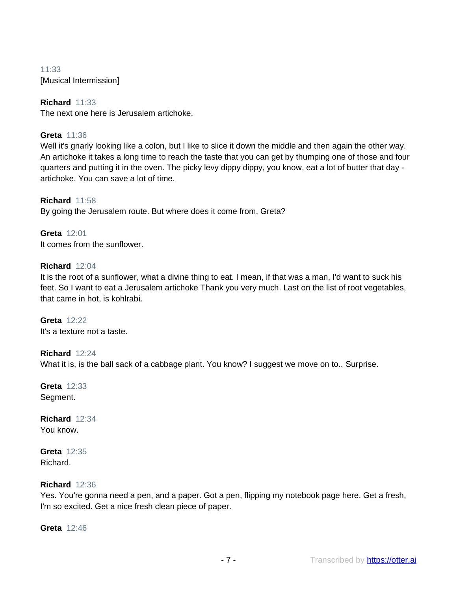11:33 [Musical Intermission]

# **Richard** 11:33

The next one here is Jerusalem artichoke.

# **Greta** 11:36

Well it's gnarly looking like a colon, but I like to slice it down the middle and then again the other way. An artichoke it takes a long time to reach the taste that you can get by thumping one of those and four quarters and putting it in the oven. The picky levy dippy dippy, you know, eat a lot of butter that day artichoke. You can save a lot of time.

**Richard** 11:58 By going the Jerusalem route. But where does it come from, Greta?

**Greta** 12:01 It comes from the sunflower.

# **Richard** 12:04

It is the root of a sunflower, what a divine thing to eat. I mean, if that was a man, I'd want to suck his feet. So I want to eat a Jerusalem artichoke Thank you very much. Last on the list of root vegetables, that came in hot, is kohlrabi.

**Greta** 12:22 It's a texture not a taste.

# **Richard** 12:24

What it is, is the ball sack of a cabbage plant. You know? I suggest we move on to.. Surprise.

**Greta** 12:33 Segment.

**Richard** 12:34 You know.

**Greta** 12:35 Richard.

# **Richard** 12:36

Yes. You're gonna need a pen, and a paper. Got a pen, flipping my notebook page here. Get a fresh, I'm so excited. Get a nice fresh clean piece of paper.

**Greta** 12:46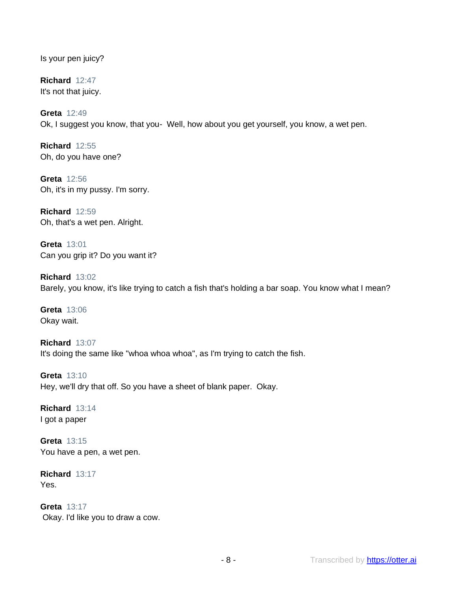Is your pen juicy?

**Richard** 12:47 It's not that juicy.

**Greta** 12:49 Ok, I suggest you know, that you- Well, how about you get yourself, you know, a wet pen.

**Richard** 12:55 Oh, do you have one?

**Greta** 12:56 Oh, it's in my pussy. I'm sorry.

**Richard** 12:59 Oh, that's a wet pen. Alright.

**Greta** 13:01 Can you grip it? Do you want it?

**Richard** 13:02 Barely, you know, it's like trying to catch a fish that's holding a bar soap. You know what I mean?

**Greta** 13:06 Okay wait.

**Richard** 13:07 It's doing the same like "whoa whoa whoa", as I'm trying to catch the fish.

**Greta** 13:10 Hey, we'll dry that off. So you have a sheet of blank paper. Okay.

**Richard** 13:14 I got a paper

**Greta** 13:15 You have a pen, a wet pen.

**Richard** 13:17 Yes.

**Greta** 13:17 Okay. I'd like you to draw a cow.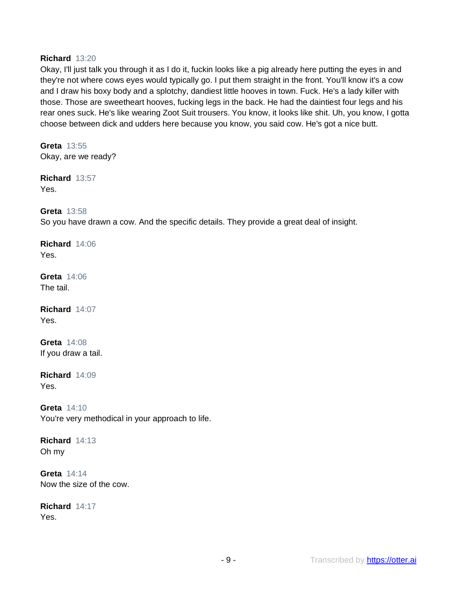# **Richard** 13:20

Okay, I'll just talk you through it as I do it, fuckin looks like a pig already here putting the eyes in and they're not where cows eyes would typically go. I put them straight in the front. You'll know it's a cow and I draw his boxy body and a splotchy, dandiest little hooves in town. Fuck. He's a lady killer with those. Those are sweetheart hooves, fucking legs in the back. He had the daintiest four legs and his rear ones suck. He's like wearing Zoot Suit trousers. You know, it looks like shit. Uh, you know, I gotta choose between dick and udders here because you know, you said cow. He's got a nice butt.

**Greta** 13:55 Okay, are we ready?

**Richard** 13:57 Yes.

**Greta** 13:58

So you have drawn a cow. And the specific details. They provide a great deal of insight.

**Richard** 14:06 Yes.

**Greta** 14:06 The tail.

**Richard** 14:07 Yes.

**Greta** 14:08 If you draw a tail.

**Richard** 14:09 Yes.

**Greta** 14:10 You're very methodical in your approach to life.

**Richard** 14:13 Oh my

**Greta** 14:14 Now the size of the cow.

**Richard** 14:17 Yes.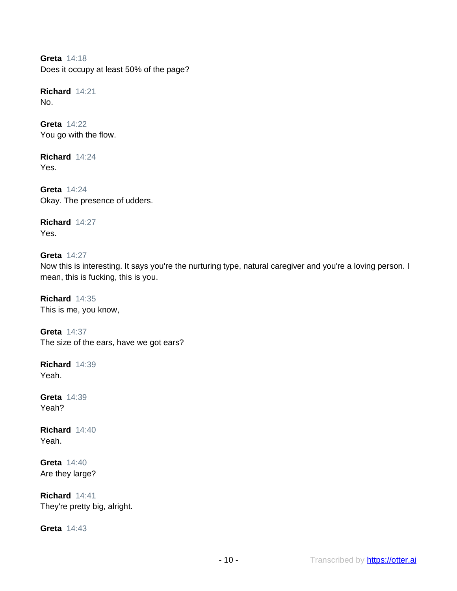**Greta** 14:18 Does it occupy at least 50% of the page?

**Richard** 14:21 No.

**Greta** 14:22 You go with the flow.

**Richard** 14:24 Yes.

**Greta** 14:24 Okay. The presence of udders.

**Richard** 14:27 Yes.

**Greta** 14:27 Now this is interesting. It says you're the nurturing type, natural caregiver and you're a loving person. I mean, this is fucking, this is you.

**Richard** 14:35 This is me, you know,

**Greta** 14:37 The size of the ears, have we got ears?

**Richard** 14:39 Yeah.

**Greta** 14:39 Yeah?

**Richard** 14:40 Yeah.

**Greta** 14:40 Are they large?

**Richard** 14:41 They're pretty big, alright.

**Greta** 14:43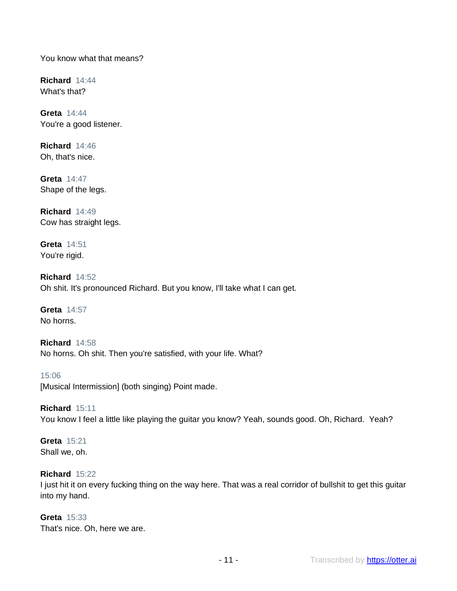You know what that means?

**Richard** 14:44 What's that?

**Greta** 14:44 You're a good listener.

**Richard** 14:46 Oh, that's nice.

**Greta** 14:47 Shape of the legs.

**Richard** 14:49 Cow has straight legs.

**Greta** 14:51 You're rigid.

**Richard** 14:52 Oh shit. It's pronounced Richard. But you know, I'll take what I can get.

**Greta** 14:57 No horns.

**Richard** 14:58 No horns. Oh shit. Then you're satisfied, with your life. What?

15:06 [Musical Intermission] (both singing) Point made.

**Richard** 15:11 You know I feel a little like playing the guitar you know? Yeah, sounds good. Oh, Richard. Yeah?

**Greta** 15:21 Shall we, oh.

# **Richard** 15:22

I just hit it on every fucking thing on the way here. That was a real corridor of bullshit to get this guitar into my hand.

### **Greta** 15:33

That's nice. Oh, here we are.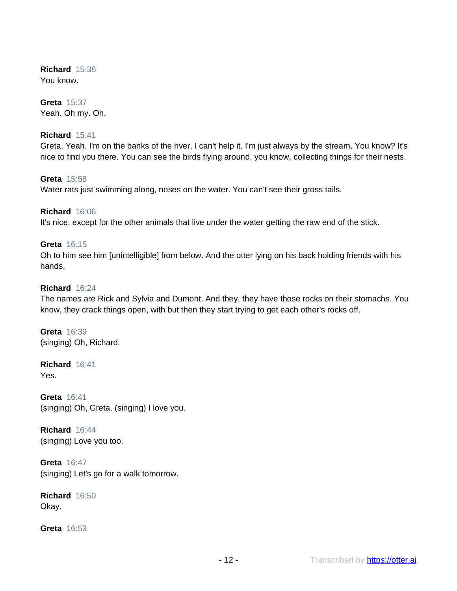**Richard** 15:36 You know.

**Greta** 15:37 Yeah. Oh my. Oh.

# **Richard** 15:41

Greta. Yeah. I'm on the banks of the river. I can't help it. I'm just always by the stream. You know? It's nice to find you there. You can see the birds flying around, you know, collecting things for their nests.

**Greta** 15:58 Water rats just swimming along, noses on the water. You can't see their gross tails.

**Richard** 16:06 It's nice, except for the other animals that live under the water getting the raw end of the stick.

# **Greta** 16:15

Oh to him see him [unintelligible] from below. And the otter lying on his back holding friends with his hands.

# **Richard** 16:24

The names are Rick and Sylvia and Dumont. And they, they have those rocks on their stomachs. You know, they crack things open, with but then they start trying to get each other's rocks off.

**Greta** 16:39 (singing) Oh, Richard.

**Richard** 16:41 Yes.

**Greta** 16:41 (singing) Oh, Greta. (singing) I love you.

**Richard** 16:44 (singing) Love you too.

**Greta** 16:47 (singing) Let's go for a walk tomorrow.

**Richard** 16:50 Okay.

**Greta** 16:53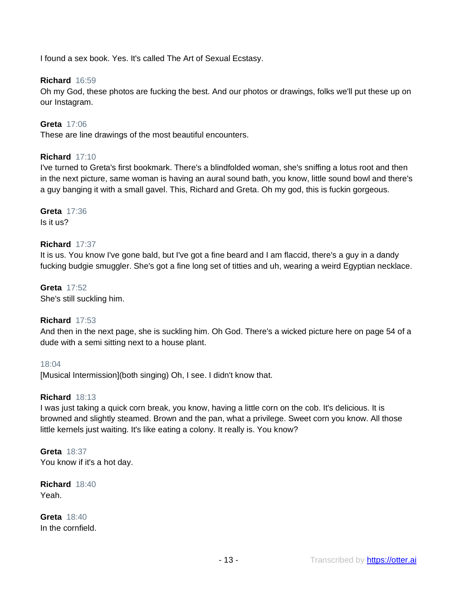I found a sex book. Yes. It's called The Art of Sexual Ecstasy.

# **Richard** 16:59

Oh my God, these photos are fucking the best. And our photos or drawings, folks we'll put these up on our Instagram.

# **Greta** 17:06

These are line drawings of the most beautiful encounters.

# **Richard** 17:10

I've turned to Greta's first bookmark. There's a blindfolded woman, she's sniffing a lotus root and then in the next picture, same woman is having an aural sound bath, you know, little sound bowl and there's a guy banging it with a small gavel. This, Richard and Greta. Oh my god, this is fuckin gorgeous.

#### **Greta** 17:36 Is it us?

# **Richard** 17:37

It is us. You know I've gone bald, but I've got a fine beard and I am flaccid, there's a guy in a dandy fucking budgie smuggler. She's got a fine long set of titties and uh, wearing a weird Egyptian necklace.

**Greta** 17:52 She's still suckling him.

# **Richard** 17:53

And then in the next page, she is suckling him. Oh God. There's a wicked picture here on page 54 of a dude with a semi sitting next to a house plant.

# 18:04

[Musical Intermission](both singing) Oh, I see. I didn't know that.

# **Richard** 18:13

I was just taking a quick corn break, you know, having a little corn on the cob. It's delicious. It is browned and slightly steamed. Brown and the pan, what a privilege. Sweet corn you know. All those little kernels just waiting. It's like eating a colony. It really is. You know?

# **Greta** 18:37 You know if it's a hot day.

**Richard** 18:40 Yeah.

**Greta** 18:40 In the cornfield.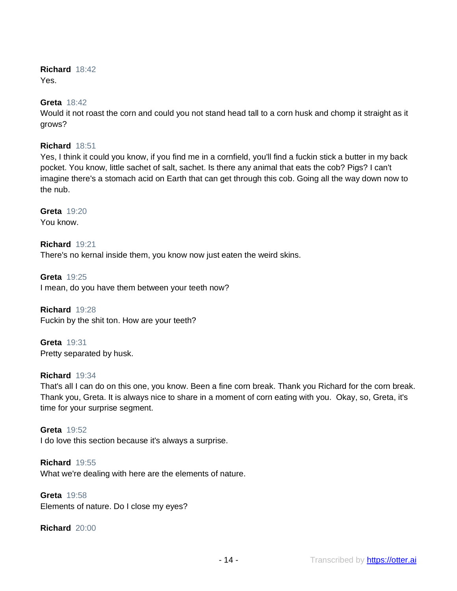# **Richard** 18:42

Yes.

# **Greta** 18:42

Would it not roast the corn and could you not stand head tall to a corn husk and chomp it straight as it grows?

# **Richard** 18:51

Yes, I think it could you know, if you find me in a cornfield, you'll find a fuckin stick a butter in my back pocket. You know, little sachet of salt, sachet. Is there any animal that eats the cob? Pigs? I can't imagine there's a stomach acid on Earth that can get through this cob. Going all the way down now to the nub.

**Greta** 19:20 You know.

**Richard** 19:21 There's no kernal inside them, you know now just eaten the weird skins.

**Greta** 19:25 I mean, do you have them between your teeth now?

**Richard** 19:28 Fuckin by the shit ton. How are your teeth?

**Greta** 19:31 Pretty separated by husk.

# **Richard** 19:34

That's all I can do on this one, you know. Been a fine corn break. Thank you Richard for the corn break. Thank you, Greta. It is always nice to share in a moment of corn eating with you. Okay, so, Greta, it's time for your surprise segment.

**Greta** 19:52 I do love this section because it's always a surprise.

**Richard** 19:55 What we're dealing with here are the elements of nature.

**Greta** 19:58 Elements of nature. Do I close my eyes?

**Richard** 20:00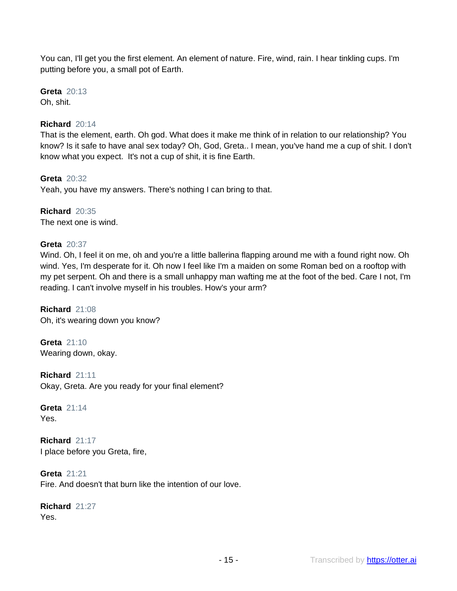You can, I'll get you the first element. An element of nature. Fire, wind, rain. I hear tinkling cups. I'm putting before you, a small pot of Earth.

**Greta** 20:13 Oh, shit.

# **Richard** 20:14

That is the element, earth. Oh god. What does it make me think of in relation to our relationship? You know? Is it safe to have anal sex today? Oh, God, Greta.. I mean, you've hand me a cup of shit. I don't know what you expect. It's not a cup of shit, it is fine Earth.

**Greta** 20:32 Yeah, you have my answers. There's nothing I can bring to that.

**Richard** 20:35 The next one is wind.

# **Greta** 20:37

Wind. Oh, I feel it on me, oh and you're a little ballerina flapping around me with a found right now. Oh wind. Yes, I'm desperate for it. Oh now I feel like I'm a maiden on some Roman bed on a rooftop with my pet serpent. Oh and there is a small unhappy man wafting me at the foot of the bed. Care I not, I'm reading. I can't involve myself in his troubles. How's your arm?

**Richard** 21:08 Oh, it's wearing down you know?

**Greta** 21:10 Wearing down, okay.

**Richard** 21:11 Okay, Greta. Are you ready for your final element?

**Greta** 21:14 Yes.

**Richard** 21:17 I place before you Greta, fire,

**Greta** 21:21 Fire. And doesn't that burn like the intention of our love.

**Richard** 21:27 Yes.